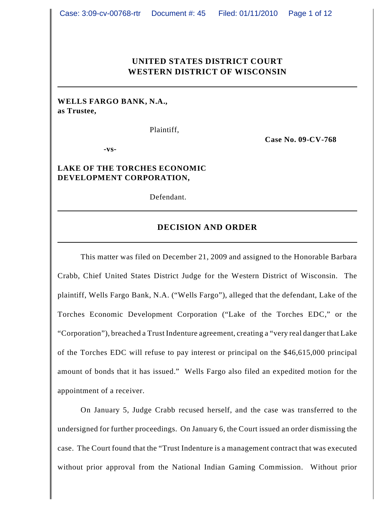## **UNITED STATES DISTRICT COURT WESTERN DISTRICT OF WISCONSIN**

## **WELLS FARGO BANK, N.A., as Trustee,**

Plaintiff,

**Case No. 09-CV-768**

**-vs-**

## **LAKE OF THE TORCHES ECONOMIC DEVELOPMENT CORPORATION,**

Defendant.

#### **DECISION AND ORDER**

This matter was filed on December 21, 2009 and assigned to the Honorable Barbara Crabb, Chief United States District Judge for the Western District of Wisconsin. The plaintiff, Wells Fargo Bank, N.A. ("Wells Fargo"), alleged that the defendant, Lake of the Torches Economic Development Corporation ("Lake of the Torches EDC," or the "Corporation"), breached a Trust Indenture agreement, creating a "very real danger that Lake of the Torches EDC will refuse to pay interest or principal on the \$46,615,000 principal amount of bonds that it has issued." Wells Fargo also filed an expedited motion for the appointment of a receiver.

On January 5, Judge Crabb recused herself, and the case was transferred to the undersigned for further proceedings. On January 6, the Court issued an order dismissing the case. The Court found that the "Trust Indenture is a management contract that was executed without prior approval from the National Indian Gaming Commission. Without prior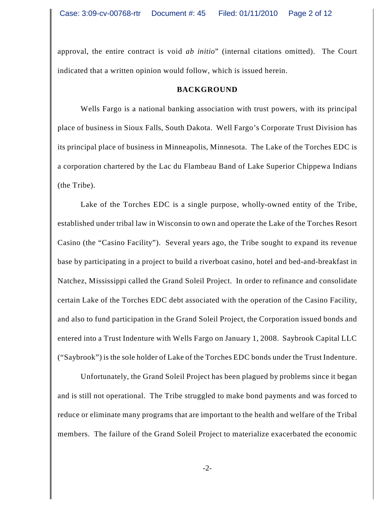approval, the entire contract is void *ab initio*" (internal citations omitted). The Court indicated that a written opinion would follow, which is issued herein.

## **BACKGROUND**

Wells Fargo is a national banking association with trust powers, with its principal place of business in Sioux Falls, South Dakota. Well Fargo's Corporate Trust Division has its principal place of business in Minneapolis, Minnesota. The Lake of the Torches EDC is a corporation chartered by the Lac du Flambeau Band of Lake Superior Chippewa Indians (the Tribe).

Lake of the Torches EDC is a single purpose, wholly-owned entity of the Tribe, established under tribal law in Wisconsin to own and operate the Lake of the Torches Resort Casino (the "Casino Facility"). Several years ago, the Tribe sought to expand its revenue base by participating in a project to build a riverboat casino, hotel and bed-and-breakfast in Natchez, Mississippi called the Grand Soleil Project. In order to refinance and consolidate certain Lake of the Torches EDC debt associated with the operation of the Casino Facility, and also to fund participation in the Grand Soleil Project, the Corporation issued bonds and entered into a Trust Indenture with Wells Fargo on January 1, 2008. Saybrook Capital LLC ("Saybrook") is the sole holder of Lake of the Torches EDC bonds under the Trust Indenture.

Unfortunately, the Grand Soleil Project has been plagued by problems since it began and is still not operational. The Tribe struggled to make bond payments and was forced to reduce or eliminate many programs that are important to the health and welfare of the Tribal members. The failure of the Grand Soleil Project to materialize exacerbated the economic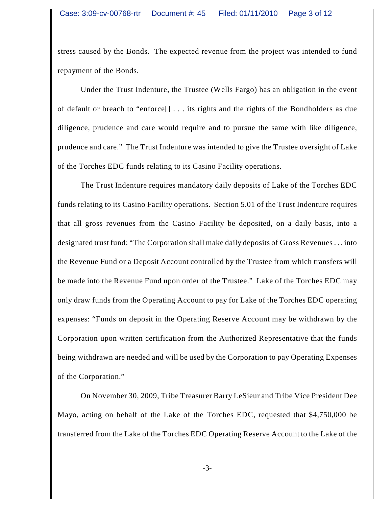stress caused by the Bonds. The expected revenue from the project was intended to fund repayment of the Bonds.

Under the Trust Indenture, the Trustee (Wells Fargo) has an obligation in the event of default or breach to "enforce[] . . . its rights and the rights of the Bondholders as due diligence, prudence and care would require and to pursue the same with like diligence, prudence and care." The Trust Indenture was intended to give the Trustee oversight of Lake of the Torches EDC funds relating to its Casino Facility operations.

The Trust Indenture requires mandatory daily deposits of Lake of the Torches EDC funds relating to its Casino Facility operations. Section 5.01 of the Trust Indenture requires that all gross revenues from the Casino Facility be deposited, on a daily basis, into a designated trust fund: "The Corporation shall make daily deposits of Gross Revenues . . . into the Revenue Fund or a Deposit Account controlled by the Trustee from which transfers will be made into the Revenue Fund upon order of the Trustee." Lake of the Torches EDC may only draw funds from the Operating Account to pay for Lake of the Torches EDC operating expenses: "Funds on deposit in the Operating Reserve Account may be withdrawn by the Corporation upon written certification from the Authorized Representative that the funds being withdrawn are needed and will be used by the Corporation to pay Operating Expenses of the Corporation."

On November 30, 2009, Tribe Treasurer Barry LeSieur and Tribe Vice President Dee Mayo, acting on behalf of the Lake of the Torches EDC, requested that \$4,750,000 be transferred from the Lake of the Torches EDC Operating Reserve Account to the Lake of the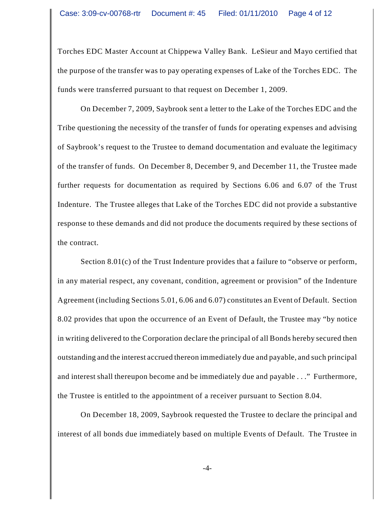Torches EDC Master Account at Chippewa Valley Bank. LeSieur and Mayo certified that the purpose of the transfer was to pay operating expenses of Lake of the Torches EDC. The funds were transferred pursuant to that request on December 1, 2009.

On December 7, 2009, Saybrook sent a letter to the Lake of the Torches EDC and the Tribe questioning the necessity of the transfer of funds for operating expenses and advising of Saybrook's request to the Trustee to demand documentation and evaluate the legitimacy of the transfer of funds. On December 8, December 9, and December 11, the Trustee made further requests for documentation as required by Sections 6.06 and 6.07 of the Trust Indenture. The Trustee alleges that Lake of the Torches EDC did not provide a substantive response to these demands and did not produce the documents required by these sections of the contract.

Section 8.01(c) of the Trust Indenture provides that a failure to "observe or perform, in any material respect, any covenant, condition, agreement or provision" of the Indenture Agreement (including Sections 5.01, 6.06 and 6.07) constitutes an Event of Default. Section 8.02 provides that upon the occurrence of an Event of Default, the Trustee may "by notice in writing delivered to the Corporation declare the principal of all Bonds hereby secured then outstanding and the interest accrued thereon immediately due and payable, and such principal and interest shall thereupon become and be immediately due and payable . . ." Furthermore, the Trustee is entitled to the appointment of a receiver pursuant to Section 8.04.

On December 18, 2009, Saybrook requested the Trustee to declare the principal and interest of all bonds due immediately based on multiple Events of Default. The Trustee in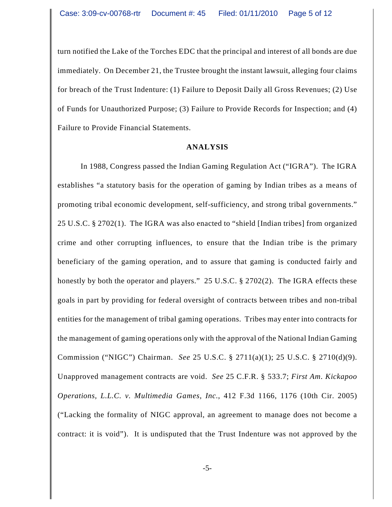turn notified the Lake of the Torches EDC that the principal and interest of all bonds are due immediately. On December 21, the Trustee brought the instant lawsuit, alleging four claims for breach of the Trust Indenture: (1) Failure to Deposit Daily all Gross Revenues; (2) Use of Funds for Unauthorized Purpose; (3) Failure to Provide Records for Inspection; and (4) Failure to Provide Financial Statements.

#### **ANALYSIS**

In 1988, Congress passed the Indian Gaming Regulation Act ("IGRA"). The IGRA establishes "a statutory basis for the operation of gaming by Indian tribes as a means of promoting tribal economic development, self-sufficiency, and strong tribal governments." 25 U.S.C. § 2702(1). The IGRA was also enacted to "shield [Indian tribes] from organized crime and other corrupting influences, to ensure that the Indian tribe is the primary beneficiary of the gaming operation, and to assure that gaming is conducted fairly and honestly by both the operator and players." 25 U.S.C. § 2702(2).The IGRA effects these goals in part by providing for federal oversight of contracts between tribes and non-tribal entities for the management of tribal gaming operations. Tribes may enter into contracts for the management of gaming operations only with the approval of the National Indian Gaming Commission ("NIGC") Chairman. *See* 25 U.S.C. § 2711(a)(1); 25 U.S.C. § 2710(d)(9). Unapproved management contracts are void. *See* 25 C.F.R. § 533.7; *First Am. Kickapoo Operations, L.L.C. v. Multimedia Games, Inc.*, 412 F.3d 1166, 1176 (10th Cir. 2005) ("Lacking the formality of NIGC approval, an agreement to manage does not become a contract: it is void"). It is undisputed that the Trust Indenture was not approved by the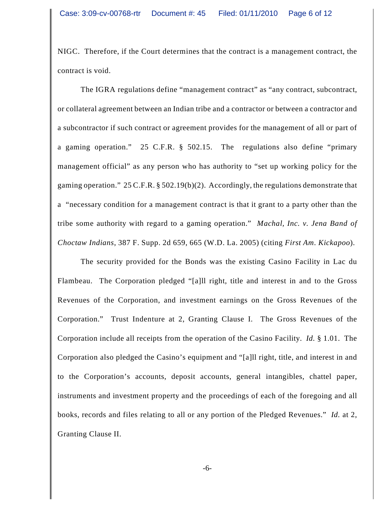NIGC. Therefore, if the Court determines that the contract is a management contract, the contract is void.

The IGRA regulations define "management contract" as "any contract, subcontract, or collateral agreement between an Indian tribe and a contractor or between a contractor and a subcontractor if such contract or agreement provides for the management of all or part of a gaming operation." 25 C.F.R. § 502.15.The regulations also define "primary management official" as any person who has authority to "set up working policy for the gaming operation." 25 C.F.R. § 502.19(b)(2). Accordingly, the regulations demonstrate that a "necessary condition for a management contract is that it grant to a party other than the tribe some authority with regard to a gaming operation." *Machal, Inc. v. Jena Band of Choctaw Indians*, 387 F. Supp. 2d 659, 665 (W.D. La. 2005) (citing *First Am. Kickapoo*).

The security provided for the Bonds was the existing Casino Facility in Lac du Flambeau. The Corporation pledged "[a]ll right, title and interest in and to the Gross Revenues of the Corporation, and investment earnings on the Gross Revenues of the Corporation." Trust Indenture at 2, Granting Clause I. The Gross Revenues of the Corporation include all receipts from the operation of the Casino Facility. *Id.* § 1.01. The Corporation also pledged the Casino's equipment and "[a]ll right, title, and interest in and to the Corporation's accounts, deposit accounts, general intangibles, chattel paper, instruments and investment property and the proceedings of each of the foregoing and all books, records and files relating to all or any portion of the Pledged Revenues." *Id.* at 2, Granting Clause II.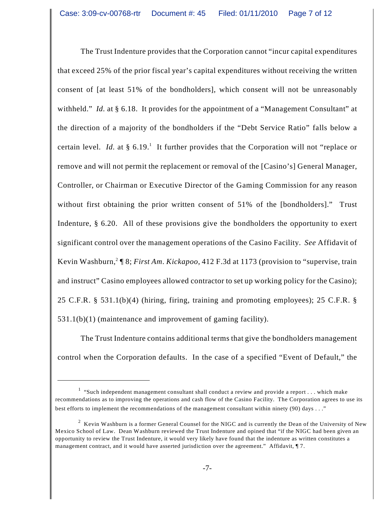The Trust Indenture provides that the Corporation cannot "incur capital expenditures that exceed 25% of the prior fiscal year's capital expenditures without receiving the written consent of [at least 51% of the bondholders], which consent will not be unreasonably withheld." *Id.* at § 6.18. It provides for the appointment of a "Management Consultant" at the direction of a majority of the bondholders if the "Debt Service Ratio" falls below a certain level. *Id.* at  $\S 6.19$ <sup>1</sup>. It further provides that the Corporation will not "replace or remove and will not permit the replacement or removal of the [Casino's] General Manager, Controller, or Chairman or Executive Director of the Gaming Commission for any reason without first obtaining the prior written consent of 51% of the [bondholders]." Trust Indenture, § 6.20. All of these provisions give the bondholders the opportunity to exert significant control over the management operations of the Casino Facility. *See* Affidavit of Kevin Washburn,<sup>2</sup> ¶ 8; *First Am. Kickapoo*, 412 F.3d at 1173 (provision to "supervise, train and instruct" Casino employees allowed contractor to set up working policy for the Casino); 25 C.F.R. § 531.1(b)(4) (hiring, firing, training and promoting employees); 25 C.F.R. § 531.1(b)(1) (maintenance and improvement of gaming facility).

The Trust Indenture contains additional terms that give the bondholders management control when the Corporation defaults. In the case of a specified "Event of Default," the

 $1$  "Such independent management consultant shall conduct a review and provide a report . . . which make recommendations as to improving the operations and cash flow of the Casino Facility. The Corporation agrees to use its best efforts to implement the recommendations of the management consultant within ninety (90) days . . ."

 $^2$  Kevin Washburn is a former General Counsel for the NIGC and is currently the Dean of the University of New Mexico School of Law. Dean Washburn reviewed the Trust Indenture and opined that "if the NIGC had been given an opportunity to review the Trust Indenture, it would very likely have found that the indenture as written constitutes a management contract, and it would have asserted jurisdiction over the agreement." Affidavit,  $\P$ 7.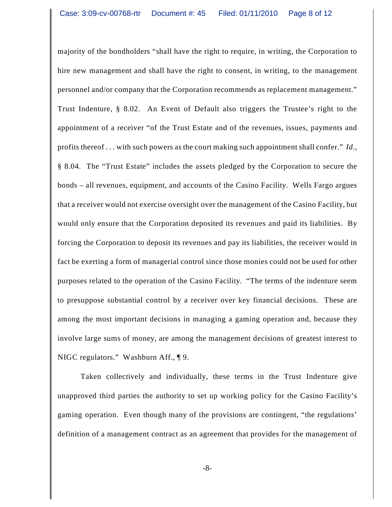majority of the bondholders "shall have the right to require, in writing, the Corporation to hire new management and shall have the right to consent, in writing, to the management personnel and/or company that the Corporation recommends as replacement management." Trust Indenture, § 8.02. An Event of Default also triggers the Trustee's right to the appointment of a receiver "of the Trust Estate and of the revenues, issues, payments and profits thereof . . . with such powers as the court making such appointment shall confer." *Id.*, § 8.04. The "Trust Estate" includes the assets pledged by the Corporation to secure the bonds – all revenues, equipment, and accounts of the Casino Facility. Wells Fargo argues that a receiver would not exercise oversight over the management of the Casino Facility, but would only ensure that the Corporation deposited its revenues and paid its liabilities. By forcing the Corporation to deposit its revenues and pay its liabilities, the receiver would in fact be exerting a form of managerial control since those monies could not be used for other purposes related to the operation of the Casino Facility. "The terms of the indenture seem to presuppose substantial control by a receiver over key financial decisions. These are among the most important decisions in managing a gaming operation and, because they involve large sums of money, are among the management decisions of greatest interest to NIGC regulators." Washburn Aff., ¶ 9.

Taken collectively and individually, these terms in the Trust Indenture give unapproved third parties the authority to set up working policy for the Casino Facility's gaming operation. Even though many of the provisions are contingent, "the regulations' definition of a management contract as an agreement that provides for the management of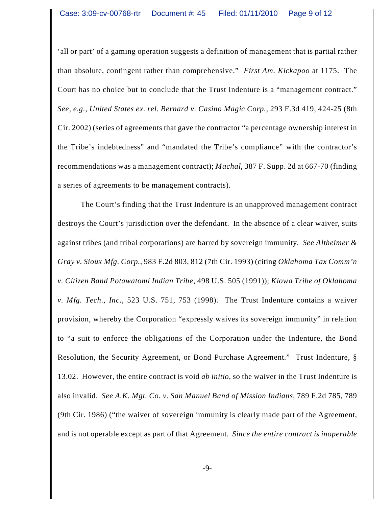'all or part' of a gaming operation suggests a definition of management that is partial rather than absolute, contingent rather than comprehensive." *First Am. Kickapoo* at 1175. The Court has no choice but to conclude that the Trust Indenture is a "management contract." *See, e.g., United States ex. rel. Bernard v. Casino Magic Corp.*, 293 F.3d 419, 424-25 (8th Cir. 2002) (series of agreements that gave the contractor "a percentage ownership interest in the Tribe's indebtedness" and "mandated the Tribe's compliance" with the contractor's recommendations was a management contract); *Machal*, 387 F. Supp. 2d at 667-70 (finding a series of agreements to be management contracts).

The Court's finding that the Trust Indenture is an unapproved management contract destroys the Court's jurisdiction over the defendant. In the absence of a clear waiver, suits against tribes (and tribal corporations) are barred by sovereign immunity. *See Altheimer & Gray v. Sioux Mfg. Corp.*, 983 F.2d 803, 812 (7th Cir. 1993) (citing *Oklahoma Tax Comm'n v. Citizen Band Potawatomi Indian Tribe*, 498 U.S. 505 (1991)); *Kiowa Tribe of Oklahoma v. Mfg. Tech., Inc.*, 523 U.S. 751, 753 (1998). The Trust Indenture contains a waiver provision, whereby the Corporation "expressly waives its sovereign immunity" in relation to "a suit to enforce the obligations of the Corporation under the Indenture, the Bond Resolution, the Security Agreement, or Bond Purchase Agreement." Trust Indenture, § 13.02. However, the entire contract is void *ab initio*, so the waiver in the Trust Indenture is also invalid. *See A.K. Mgt. Co. v. San Manuel Band of Mission Indians*, 789 F.2d 785, 789 (9th Cir. 1986) ("the waiver of sovereign immunity is clearly made part of the Agreement, and is not operable except as part of that Agreement. *Since the entire contract is inoperable*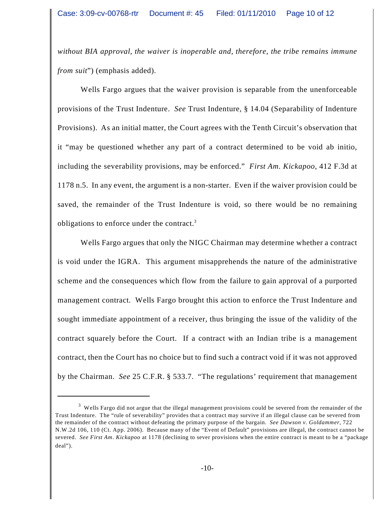*without BIA approval, the waiver is inoperable and, therefore, the tribe remains immune from suit*") (emphasis added).

Wells Fargo argues that the waiver provision is separable from the unenforceable provisions of the Trust Indenture. *See* Trust Indenture, § 14.04 (Separability of Indenture Provisions). As an initial matter, the Court agrees with the Tenth Circuit's observation that it "may be questioned whether any part of a contract determined to be void ab initio, including the severability provisions, may be enforced." *First Am. Kickapoo*, 412 F.3d at 1178 n.5. In any event, the argument is a non-starter. Even if the waiver provision could be saved, the remainder of the Trust Indenture is void, so there would be no remaining obligations to enforce under the contract.<sup>3</sup>

Wells Fargo argues that only the NIGC Chairman may determine whether a contract is void under the IGRA. This argument misapprehends the nature of the administrative scheme and the consequences which flow from the failure to gain approval of a purported management contract. Wells Fargo brought this action to enforce the Trust Indenture and sought immediate appointment of a receiver, thus bringing the issue of the validity of the contract squarely before the Court. If a contract with an Indian tribe is a management contract, then the Court has no choice but to find such a contract void if it was not approved by the Chairman. *See* 25 C.F.R. § 533.7. "The regulations' requirement that management

<sup>&</sup>lt;sup>3</sup> Wells Fargo did not argue that the illegal management provisions could be severed from the remainder of the Trust Indenture. The "rule of severability" provides that a contract may survive if an illegal clause can be severed from the remainder of the contract without defeating the primary purpose of the bargain. *See Dawson v. Goldammer*, 722 N.W.2d 106, 110 (Ct. App. 2006). Because many of the "Event of Default" provisions are illegal, the contract cannot be severed. *See First Am. Kickapoo* at 1178 (declining to sever provisions when the entire contract is meant to be a "package deal").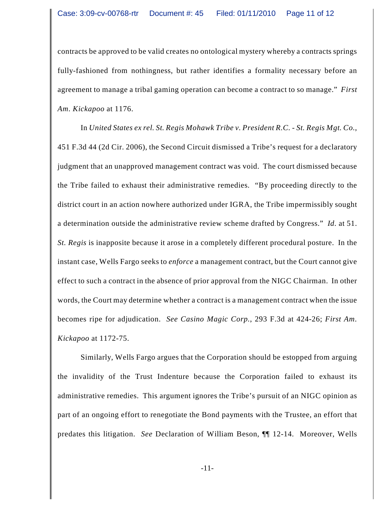contracts be approved to be valid creates no ontological mystery whereby a contracts springs fully-fashioned from nothingness, but rather identifies a formality necessary before an agreement to manage a tribal gaming operation can become a contract to so manage." *First Am. Kickapoo* at 1176.

In *United States ex rel. St. Regis Mohawk Tribe v. President R.C. - St. Regis Mgt. Co.*, 451 F.3d 44 (2d Cir. 2006), the Second Circuit dismissed a Tribe's request for a declaratory judgment that an unapproved management contract was void. The court dismissed because the Tribe failed to exhaust their administrative remedies. "By proceeding directly to the district court in an action nowhere authorized under IGRA, the Tribe impermissibly sought a determination outside the administrative review scheme drafted by Congress." *Id.* at 51. *St. Regis* is inapposite because it arose in a completely different procedural posture. In the instant case, Wells Fargo seeks to *enforce* a management contract, but the Court cannot give effect to such a contract in the absence of prior approval from the NIGC Chairman. In other words, the Court may determine whether a contract is a management contract when the issue becomes ripe for adjudication. *See Casino Magic Corp.*, 293 F.3d at 424-26; *First Am. Kickapoo* at 1172-75.

Similarly, Wells Fargo argues that the Corporation should be estopped from arguing the invalidity of the Trust Indenture because the Corporation failed to exhaust its administrative remedies. This argument ignores the Tribe's pursuit of an NIGC opinion as part of an ongoing effort to renegotiate the Bond payments with the Trustee, an effort that predates this litigation. *See* Declaration of William Beson, ¶¶ 12-14. Moreover, Wells